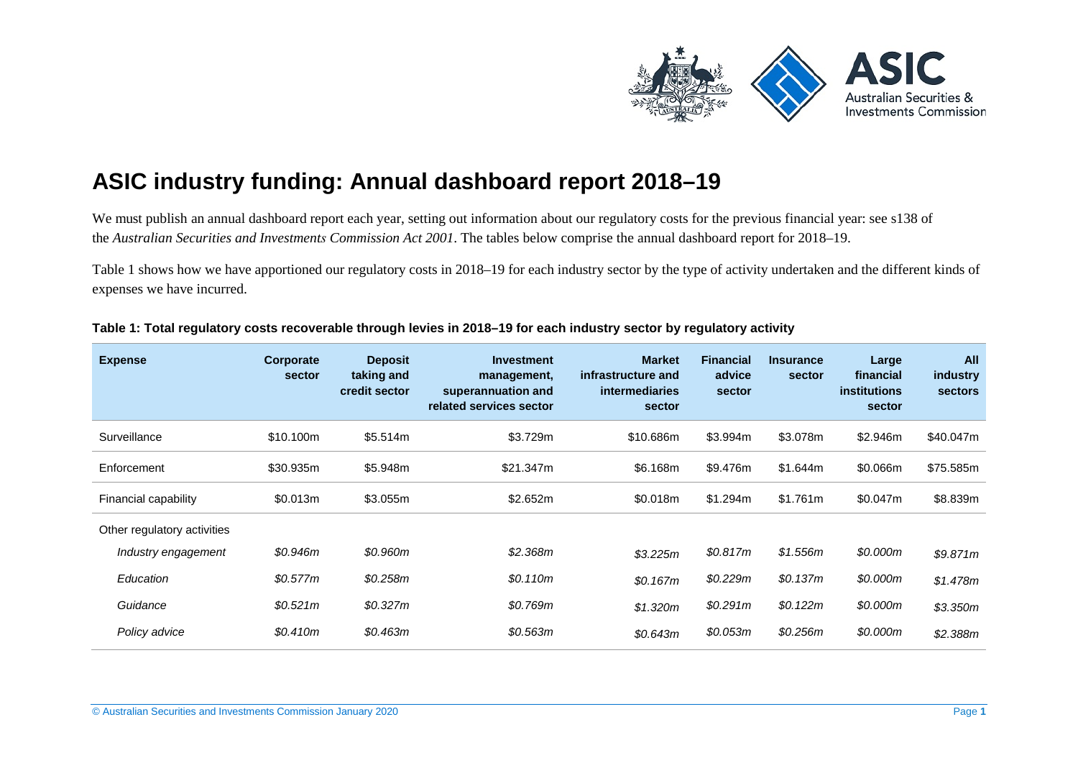

# **ASIC industry funding: Annual dashboard report 2018–19**

We must publish an annual dashboard report each year, setting out information about our regulatory costs for the previous financial year: see s138 of the *Australian Securities and Investments Commission Act 2001*. The tables below comprise the annual dashboard report for 2018–19.

[Table 1](#page-0-0) shows how we have apportioned our regulatory costs in 2018–19 for each industry sector by the type of activity undertaken and the different kinds of expenses we have incurred.

| <b>Expense</b>              | Corporate<br>sector | <b>Deposit</b><br>taking and<br>credit sector | Investment<br>management,<br>superannuation and<br>related services sector | <b>Market</b><br>infrastructure and<br><b>intermediaries</b><br>sector | <b>Financial</b><br>advice<br>sector | <b>Insurance</b><br>sector | Large<br>financial<br><i>institutions</i><br>sector | All<br>industry<br><b>sectors</b> |
|-----------------------------|---------------------|-----------------------------------------------|----------------------------------------------------------------------------|------------------------------------------------------------------------|--------------------------------------|----------------------------|-----------------------------------------------------|-----------------------------------|
| Surveillance                | \$10.100m           | \$5.514m                                      | \$3.729m                                                                   | \$10,686m                                                              | \$3.994m                             | \$3.078m                   | \$2.946m                                            | \$40.047m                         |
| Enforcement                 | \$30.935m           | \$5.948m                                      | \$21.347m                                                                  | \$6.168m                                                               | \$9.476m                             | \$1.644m                   | \$0.066m                                            | \$75.585m                         |
| Financial capability        | \$0.013m            | \$3.055m                                      | \$2.652m                                                                   | \$0.018m                                                               | \$1.294m                             | \$1.761m                   | \$0.047m                                            | \$8.839m                          |
| Other regulatory activities |                     |                                               |                                                                            |                                                                        |                                      |                            |                                                     |                                   |
| Industry engagement         | \$0.946m            | \$0.960m                                      | \$2.368m                                                                   | \$3.225m                                                               | \$0.817m                             | \$1.556m                   | \$0.000m                                            | \$9.871m                          |
| Education                   | \$0.577m            | \$0.258m                                      | \$0.110m                                                                   | \$0.167m                                                               | \$0.229m                             | \$0.137m                   | \$0.000m                                            | \$1.478m                          |
| Guidance                    | \$0.521m            | \$0.327m                                      | \$0.769m                                                                   | \$1.320m                                                               | \$0.291m                             | \$0.122m                   | \$0.000m                                            | \$3.350m                          |
| Policy advice               | \$0.410m            | \$0.463m                                      | \$0.563m                                                                   | \$0.643m                                                               | \$0.053m                             | \$0.256m                   | \$0.000m                                            | \$2.388m                          |

#### <span id="page-0-0"></span>**Table 1: Total regulatory costs recoverable through levies in 2018–19 for each industry sector by regulatory activity**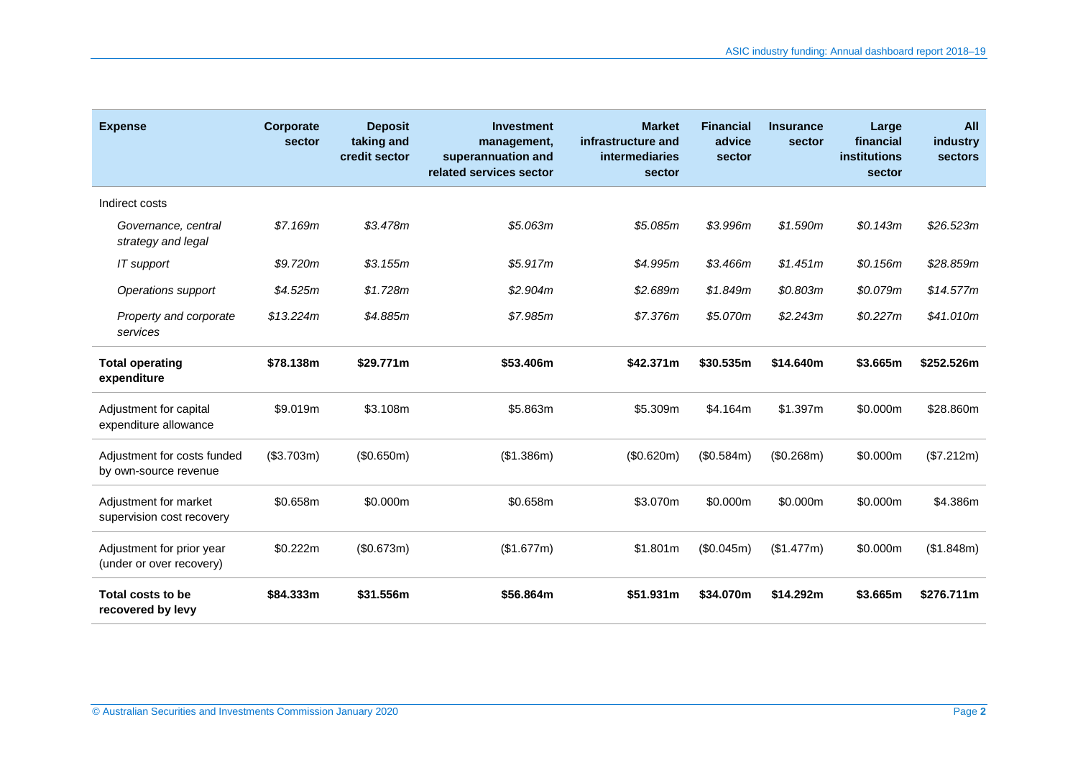| <b>Expense</b>                                        | Corporate<br>sector | <b>Deposit</b><br>taking and<br>credit sector | <b>Investment</b><br>management,<br>superannuation and<br>related services sector | <b>Market</b><br>infrastructure and<br><b>intermediaries</b><br>sector | <b>Financial</b><br>advice<br>sector | <b>Insurance</b><br>sector | Large<br>financial<br>institutions<br>sector | All<br>industry<br><b>sectors</b> |
|-------------------------------------------------------|---------------------|-----------------------------------------------|-----------------------------------------------------------------------------------|------------------------------------------------------------------------|--------------------------------------|----------------------------|----------------------------------------------|-----------------------------------|
| Indirect costs                                        |                     |                                               |                                                                                   |                                                                        |                                      |                            |                                              |                                   |
| Governance, central<br>strategy and legal             | \$7.169m            | \$3.478m                                      | \$5.063m                                                                          | \$5.085m                                                               | \$3.996m                             | \$1.590m                   | \$0.143m                                     | \$26.523m                         |
| IT support                                            | \$9.720m            | \$3.155m                                      | \$5.917m                                                                          | \$4.995m                                                               | \$3.466m                             | \$1.451m                   | \$0.156m                                     | \$28.859m                         |
| Operations support                                    | \$4.525m            | \$1.728m                                      | \$2.904m                                                                          | \$2.689m                                                               | \$1.849m                             | \$0.803m                   | \$0.079m                                     | \$14.577m                         |
| Property and corporate<br>services                    | \$13.224m           | \$4.885m                                      | \$7.985m                                                                          | \$7.376m                                                               | \$5.070m                             | \$2.243m                   | \$0.227m                                     | \$41.010m                         |
| <b>Total operating</b><br>expenditure                 | \$78.138m           | \$29.771m                                     | \$53.406m                                                                         | \$42,371m                                                              | \$30.535m                            | \$14.640m                  | \$3.665m                                     | \$252.526m                        |
| Adjustment for capital<br>expenditure allowance       | \$9.019m            | \$3.108m                                      | \$5.863m                                                                          | \$5.309m                                                               | \$4.164m                             | \$1.397m                   | \$0.000m                                     | \$28,860m                         |
| Adjustment for costs funded<br>by own-source revenue  | (\$3.703m)          | (\$0.650m)                                    | (\$1.386m)                                                                        | (\$0.620m)                                                             | (\$0.584m)                           | (\$0.268m)                 | \$0.000m                                     | (\$7.212m)                        |
| Adjustment for market<br>supervision cost recovery    | \$0.658m            | \$0.000m                                      | \$0.658m                                                                          | \$3.070m                                                               | \$0.000m                             | \$0.000m                   | \$0.000m                                     | \$4.386m                          |
| Adjustment for prior year<br>(under or over recovery) | \$0.222m            | (\$0.673m)                                    | (\$1.677m)                                                                        | \$1.801m                                                               | (\$0.045m)                           | (\$1.477m)                 | \$0.000m                                     | (\$1.848m)                        |
| Total costs to be<br>recovered by levy                | \$84.333m           | \$31.556m                                     | \$56.864m                                                                         | \$51.931m                                                              | \$34.070m                            | \$14.292m                  | \$3.665m                                     | \$276.711m                        |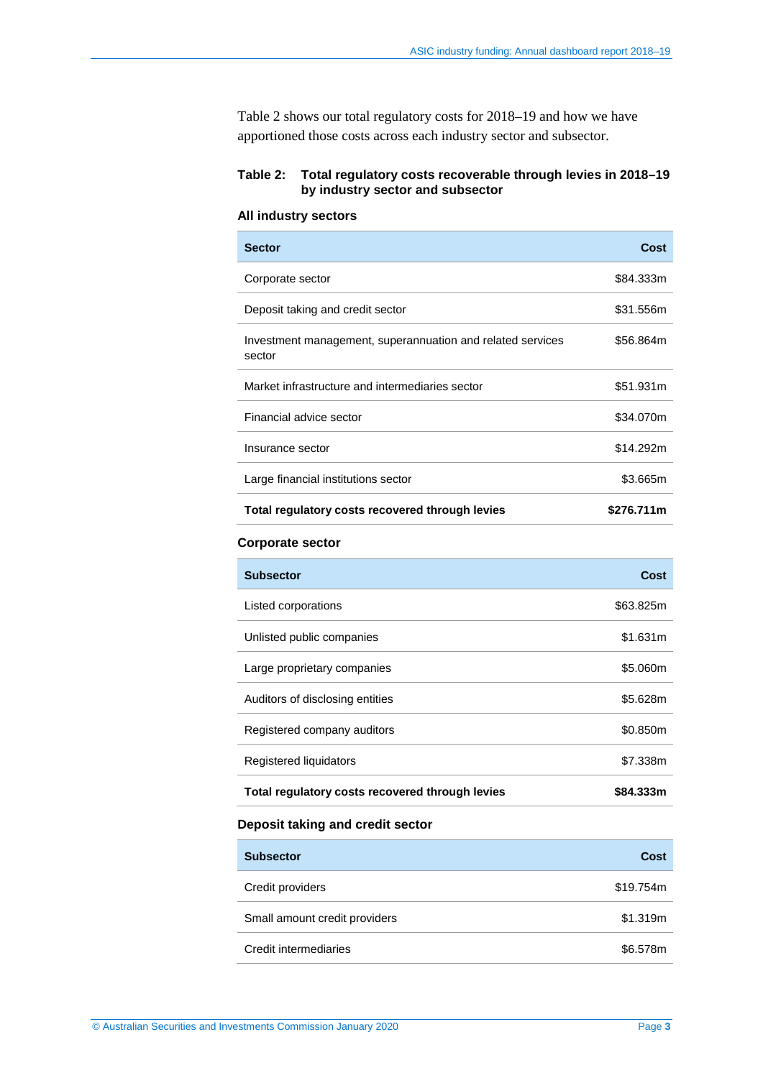[Table 2](#page-2-0) shows our total regulatory costs for 2018–19 and how we have apportioned those costs across each industry sector and subsector.

## <span id="page-2-0"></span>**Table 2: Total regulatory costs recoverable through levies in 2018–19 by industry sector and subsector**

#### **All industry sectors**

| <b>Sector</b>                                                        | Cost       |
|----------------------------------------------------------------------|------------|
| Corporate sector                                                     | \$84.333m  |
| Deposit taking and credit sector                                     | \$31.556m  |
| Investment management, superannuation and related services<br>sector | \$56.864m  |
| Market infrastructure and intermediaries sector                      | \$51.931m  |
| Financial advice sector                                              | \$34.070m  |
| Insurance sector                                                     | \$14.292m  |
| Large financial institutions sector                                  | \$3.665m   |
| Total regulatory costs recovered through levies                      | \$276.711m |
| <b>Corporate sector</b>                                              |            |
| <b>Subsector</b>                                                     | Cost       |
| Listed corporations                                                  | \$63.825m  |
| Unlisted public companies                                            | \$1.631m   |
| Large proprietary companies                                          | \$5.060m   |
| Auditors of disclosing entities                                      | \$5.628m   |
| Registered company auditors                                          | \$0.850m   |
| Registered liquidators                                               | \$7.338m   |
| Total regulatory costs recovered through levies                      | \$84.333m  |

#### **Deposit taking and credit sector**

| <b>Subsector</b>              | Cost      |
|-------------------------------|-----------|
| Credit providers              | \$19.754m |
| Small amount credit providers | \$1.319m  |
| Credit intermediaries         | \$6.578m  |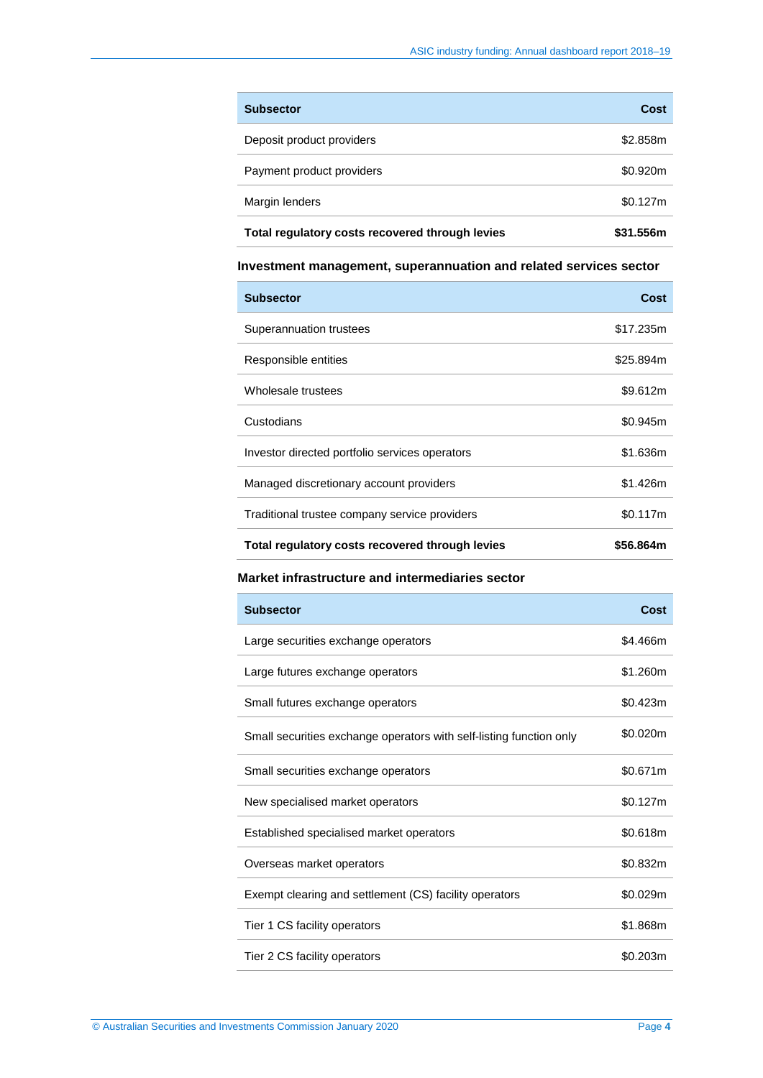| <b>Subsector</b>                                | Cost      |
|-------------------------------------------------|-----------|
| Deposit product providers                       | \$2.858m  |
| Payment product providers                       | \$0.920m  |
| Margin lenders                                  | \$0.127m  |
| Total regulatory costs recovered through levies | \$31.556m |

# **Investment management, superannuation and related services sector**

| <b>Subsector</b>                                | Cost      |
|-------------------------------------------------|-----------|
| Superannuation trustees                         | \$17.235m |
| Responsible entities                            | \$25.894m |
| Wholesale trustees                              | \$9.612m  |
| Custodians                                      | \$0.945m  |
| Investor directed portfolio services operators  | \$1.636m  |
| Managed discretionary account providers         | \$1.426m  |
| Traditional trustee company service providers   | \$0.117m  |
| Total regulatory costs recovered through levies | \$56.864m |

## **Market infrastructure and intermediaries sector**

| <b>Subsector</b>                                                    | Cost     |
|---------------------------------------------------------------------|----------|
| Large securities exchange operators                                 | \$4.466m |
| Large futures exchange operators                                    | \$1.260m |
| Small futures exchange operators                                    | \$0.423m |
| Small securities exchange operators with self-listing function only | \$0.020m |
| Small securities exchange operators                                 | \$0.671m |
| New specialised market operators                                    | \$0.127m |
| Established specialised market operators                            | \$0.618m |
| Overseas market operators                                           | \$0.832m |
| Exempt clearing and settlement (CS) facility operators              | \$0.029m |
| Tier 1 CS facility operators                                        | \$1.868m |
| Tier 2 CS facility operators                                        | \$0.203m |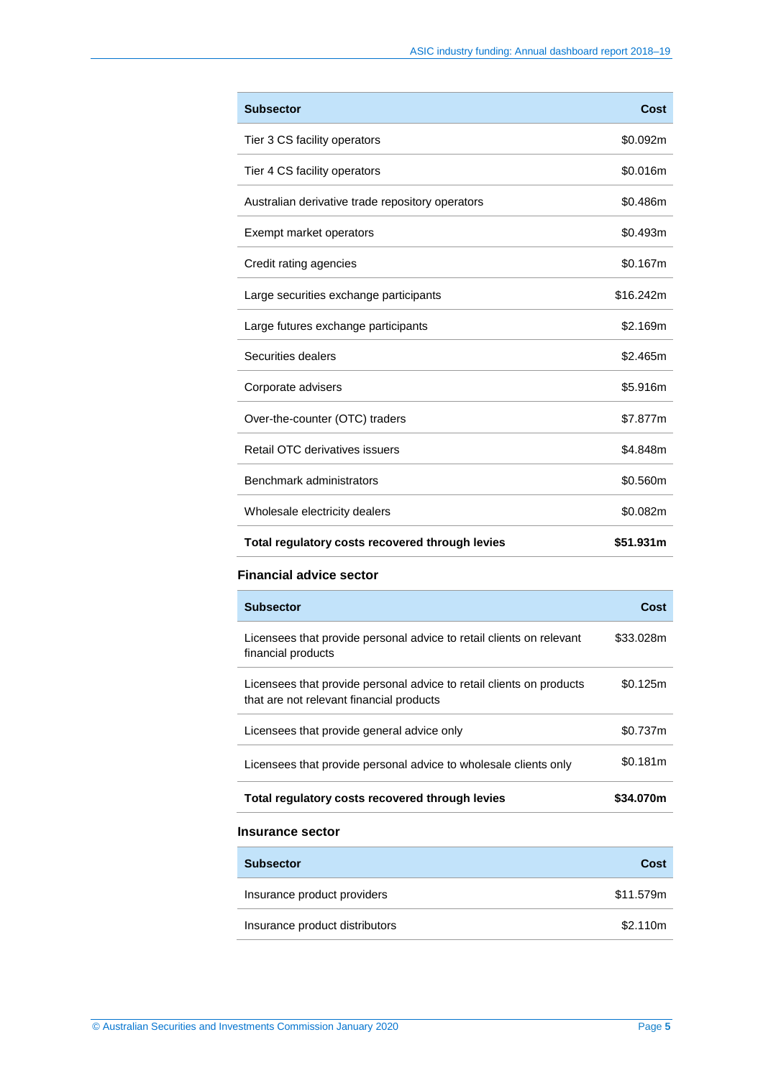| <b>Subsector</b>                                 | Cost      |
|--------------------------------------------------|-----------|
| Tier 3 CS facility operators                     | \$0.092m  |
| Tier 4 CS facility operators                     | \$0.016m  |
| Australian derivative trade repository operators | \$0.486m  |
| Exempt market operators                          | \$0.493m  |
| Credit rating agencies                           | \$0.167m  |
| Large securities exchange participants           | \$16.242m |
| Large futures exchange participants              | \$2.169m  |
| Securities dealers                               | \$2.465m  |
| Corporate advisers                               | \$5.916m  |
| Over-the-counter (OTC) traders                   | \$7.877m  |
| Retail OTC derivatives issuers                   | \$4.848m  |
| Benchmark administrators                         | \$0.560m  |
| Wholesale electricity dealers                    | \$0.082m  |
| Total regulatory costs recovered through levies  | \$51.931m |

#### **Financial advice sector**

| <b>Subsector</b>                                                                                                 | Cost      |
|------------------------------------------------------------------------------------------------------------------|-----------|
| Licensees that provide personal advice to retail clients on relevant<br>financial products                       | \$33.028m |
| Licensees that provide personal advice to retail clients on products<br>that are not relevant financial products | \$0.125m  |
| Licensees that provide general advice only                                                                       | \$0.737m  |
| Licensees that provide personal advice to wholesale clients only                                                 | \$0.181m  |
| Total regulatory costs recovered through levies                                                                  | \$34.070m |
| <b>Insurance sector</b>                                                                                          |           |
| <b>Subsector</b>                                                                                                 | Cost      |
|                                                                                                                  |           |

| Insurance product providers    | \$11.579m |
|--------------------------------|-----------|
| Insurance product distributors | \$2.110m  |